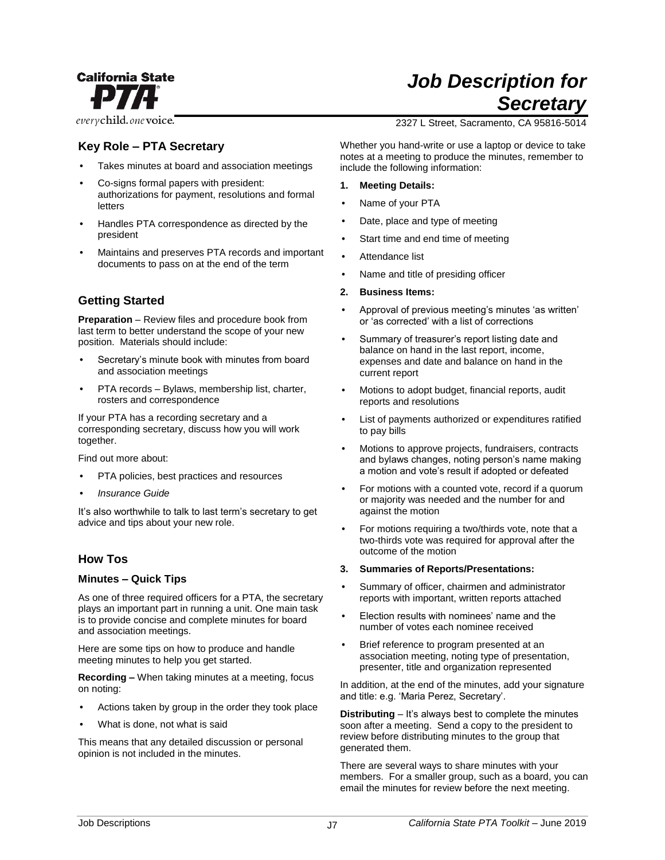

everychild.onevoice.

# **Key Role – PTA Secretary**

- Takes minutes at board and association meetings
- Co-signs formal papers with president: authorizations for payment, resolutions and formal letters
- Handles PTA correspondence as directed by the president
- Maintains and preserves PTA records and important documents to pass on at the end of the term

## **Getting Started**

**Preparation** – Review files and procedure book from last term to better understand the scope of your new position. Materials should include:

- Secretary's minute book with minutes from board and association meetings
- PTA records Bylaws, membership list, charter, rosters and correspondence

If your PTA has a recording secretary and a corresponding secretary, discuss how you will work together.

Find out more about:

- PTA policies, best practices and resources
- *Insurance Guide*

It's also worthwhile to talk to last term's secretary to get advice and tips about your new role.

## **How Tos**

#### **Minutes – Quick Tips**

As one of three required officers for a PTA, the secretary plays an important part in running a unit. One main task is to provide concise and complete minutes for board and association meetings.

Here are some tips on how to produce and handle meeting minutes to help you get started.

**Recording –** When taking minutes at a meeting, focus on noting:

- Actions taken by group in the order they took place
- What is done, not what is said

This means that any detailed discussion or personal opinion is not included in the minutes.

# *Job Description for Secretary*

2327 L Street, Sacramento, CA 95816-5014

Whether you hand-write or use a laptop or device to take notes at a meeting to produce the minutes, remember to include the following information:

- **1. Meeting Details:**
- Name of your PTA
- Date, place and type of meeting
- Start time and end time of meeting
- Attendance list
- Name and title of presiding officer

#### **2. Business Items:**

- Approval of previous meeting's minutes 'as written' or 'as corrected' with a list of corrections
- Summary of treasurer's report listing date and balance on hand in the last report, income, expenses and date and balance on hand in the current report
- Motions to adopt budget, financial reports, audit reports and resolutions
- List of payments authorized or expenditures ratified to pay bills
- Motions to approve projects, fundraisers, contracts and bylaws changes, noting person's name making a motion and vote's result if adopted or defeated
- For motions with a counted vote, record if a quorum or majority was needed and the number for and against the motion
- For motions requiring a two/thirds vote, note that a two-thirds vote was required for approval after the outcome of the motion

#### **3. Summaries of Reports/Presentations:**

- Summary of officer, chairmen and administrator reports with important, written reports attached
- Election results with nominees' name and the number of votes each nominee received
- Brief reference to program presented at an association meeting, noting type of presentation, presenter, title and organization represented

In addition, at the end of the minutes, add your signature and title: e.g. 'Maria Perez, Secretary'.

**Distributing** – It's always best to complete the minutes soon after a meeting. Send a copy to the president to review before distributing minutes to the group that generated them.

There are several ways to share minutes with your members. For a smaller group, such as a board, you can email the minutes for review before the next meeting.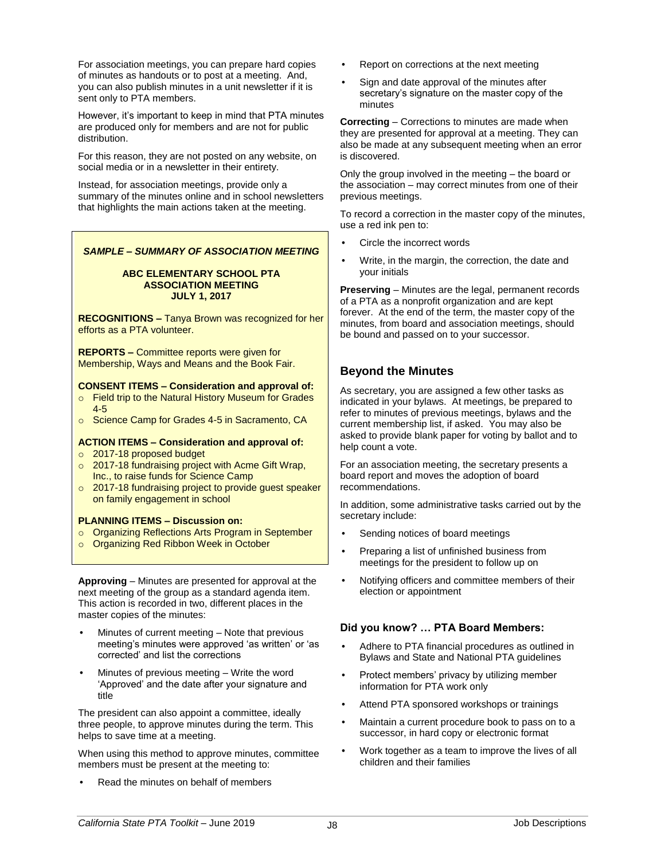For association meetings, you can prepare hard copies of minutes as handouts or to post at a meeting. And, you can also publish minutes in a unit newsletter if it is sent only to PTA members.

However, it's important to keep in mind that PTA minutes are produced only for members and are not for public distribution.

For this reason, they are not posted on any website, on social media or in a newsletter in their entirety.

Instead, for association meetings, provide only a summary of the minutes online and in school newsletters that highlights the main actions taken at the meeting.

#### *SAMPLE – SUMMARY OF ASSOCIATION MEETING*

#### **ABC ELEMENTARY SCHOOL PTA ASSOCIATION MEETING JULY 1, 2017**

**RECOGNITIONS –** Tanya Brown was recognized for her efforts as a PTA volunteer.

**REPORTS –** Committee reports were given for Membership, Ways and Means and the Book Fair.

#### **CONSENT ITEMS – Consideration and approval of:**

- o Field trip to the Natural History Museum for Grades 4-5
- o Science Camp for Grades 4-5 in Sacramento, CA

#### **ACTION ITEMS – Consideration and approval of:**

- o 2017-18 proposed budget
- o 2017-18 fundraising project with Acme Gift Wrap, Inc., to raise funds for Science Camp
- o 2017-18 fundraising project to provide guest speaker on family engagement in school

#### **PLANNING ITEMS – Discussion on:**

- o Organizing Reflections Arts Program in September
- o Organizing Red Ribbon Week in October

**Approving** – Minutes are presented for approval at the next meeting of the group as a standard agenda item. This action is recorded in two, different places in the master copies of the minutes:

- Minutes of current meeting Note that previous meeting's minutes were approved 'as written' or 'as corrected' and list the corrections
- Minutes of previous meeting Write the word 'Approved' and the date after your signature and title

The president can also appoint a committee, ideally three people, to approve minutes during the term. This helps to save time at a meeting.

When using this method to approve minutes, committee members must be present at the meeting to:

• Read the minutes on behalf of members

- Report on corrections at the next meeting
- Sign and date approval of the minutes after secretary's signature on the master copy of the minutes

**Correcting** – Corrections to minutes are made when they are presented for approval at a meeting. They can also be made at any subsequent meeting when an error is discovered.

Only the group involved in the meeting – the board or the association – may correct minutes from one of their previous meetings.

To record a correction in the master copy of the minutes, use a red ink pen to:

- Circle the incorrect words
- Write, in the margin, the correction, the date and your initials

**Preserving** – Minutes are the legal, permanent records of a PTA as a nonprofit organization and are kept forever. At the end of the term, the master copy of the minutes, from board and association meetings, should be bound and passed on to your successor.

## **Beyond the Minutes**

As secretary, you are assigned a few other tasks as indicated in your bylaws. At meetings, be prepared to refer to minutes of previous meetings, bylaws and the current membership list, if asked. You may also be asked to provide blank paper for voting by ballot and to help count a vote.

For an association meeting, the secretary presents a board report and moves the adoption of board recommendations.

In addition, some administrative tasks carried out by the secretary include:

- Sending notices of board meetings
- Preparing a list of unfinished business from meetings for the president to follow up on
- Notifying officers and committee members of their election or appointment

## **Did you know? … PTA Board Members:**

- Adhere to PTA financial procedures as outlined in Bylaws and State and National PTA guidelines
- Protect members' privacy by utilizing member information for PTA work only
- Attend PTA sponsored workshops or trainings
- Maintain a current procedure book to pass on to a successor, in hard copy or electronic format
- Work together as a team to improve the lives of all children and their families